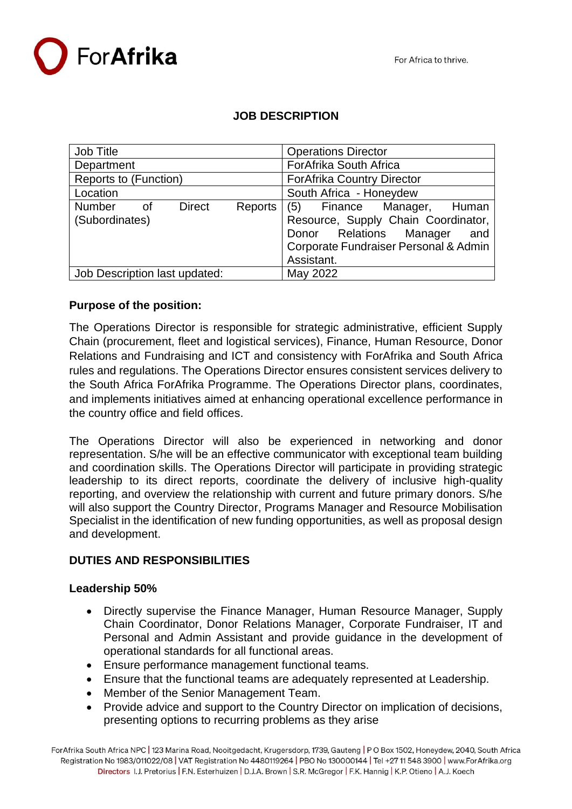

# **JOB DESCRIPTION**

| Job Title                                         | <b>Operations Director</b>            |  |  |  |
|---------------------------------------------------|---------------------------------------|--|--|--|
| Department                                        | ForAfrika South Africa                |  |  |  |
| Reports to (Function)                             | <b>ForAfrika Country Director</b>     |  |  |  |
| Location                                          | South Africa - Honeydew               |  |  |  |
| <b>Number</b><br><b>Direct</b><br>Reports<br>of . | (5)<br>Finance Manager, Human         |  |  |  |
| (Subordinates)                                    | Resource, Supply Chain Coordinator,   |  |  |  |
|                                                   | Donor Relations Manager<br>and        |  |  |  |
|                                                   | Corporate Fundraiser Personal & Admin |  |  |  |
|                                                   | Assistant.                            |  |  |  |
| Job Description last updated:                     | May 2022                              |  |  |  |

# **Purpose of the position:**

The Operations Director is responsible for strategic administrative, efficient Supply Chain (procurement, fleet and logistical services), Finance, Human Resource, Donor Relations and Fundraising and ICT and consistency with ForAfrika and South Africa rules and regulations. The Operations Director ensures consistent services delivery to the South Africa ForAfrika Programme. The Operations Director plans, coordinates, and implements initiatives aimed at enhancing operational excellence performance in the country office and field offices.

The Operations Director will also be experienced in networking and donor representation. S/he will be an effective communicator with exceptional team building and coordination skills. The Operations Director will participate in providing strategic leadership to its direct reports, coordinate the delivery of inclusive high-quality reporting, and overview the relationship with current and future primary donors. S/he will also support the Country Director, Programs Manager and Resource Mobilisation Specialist in the identification of new funding opportunities, as well as proposal design and development.

#### **DUTIES AND RESPONSIBILITIES**

#### **Leadership 50%**

- Directly supervise the Finance Manager, Human Resource Manager, Supply Chain Coordinator, Donor Relations Manager, Corporate Fundraiser, IT and Personal and Admin Assistant and provide guidance in the development of operational standards for all functional areas.
- Ensure performance management functional teams.
- Ensure that the functional teams are adequately represented at Leadership.
- Member of the Senior Management Team.
- Provide advice and support to the Country Director on implication of decisions, presenting options to recurring problems as they arise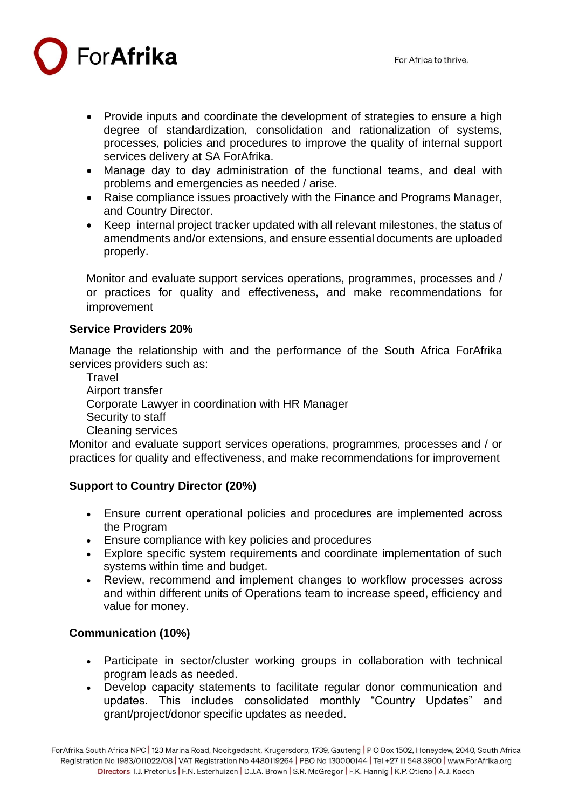ForAfrika

- Provide inputs and coordinate the development of strategies to ensure a high degree of standardization, consolidation and rationalization of systems, processes, policies and procedures to improve the quality of internal support services delivery at SA ForAfrika.
- Manage day to day administration of the functional teams, and deal with problems and emergencies as needed / arise.
- Raise compliance issues proactively with the Finance and Programs Manager, and Country Director.
- Keep internal project tracker updated with all relevant milestones, the status of amendments and/or extensions, and ensure essential documents are uploaded properly.

Monitor and evaluate support services operations, programmes, processes and / or practices for quality and effectiveness, and make recommendations for improvement

## **Service Providers 20%**

Manage the relationship with and the performance of the South Africa ForAfrika services providers such as:

**Travel** Airport transfer Corporate Lawyer in coordination with HR Manager Security to staff Cleaning services

Monitor and evaluate support services operations, programmes, processes and / or practices for quality and effectiveness, and make recommendations for improvement

# **Support to Country Director (20%)**

- Ensure current operational policies and procedures are implemented across the Program
- Ensure compliance with key policies and procedures
- Explore specific system requirements and coordinate implementation of such systems within time and budget.
- Review, recommend and implement changes to workflow processes across and within different units of Operations team to increase speed, efficiency and value for money.

# **Communication (10%)**

- Participate in sector/cluster working groups in collaboration with technical program leads as needed.
- Develop capacity statements to facilitate regular donor communication and updates. This includes consolidated monthly "Country Updates" and grant/project/donor specific updates as needed.

For Afrika South Africa NPC | 123 Marina Road, Nooitgedacht, Krugersdorp, 1739, Gauteng | PO Box 1502, Honeydew, 2040, South Africa Registration No 1983/011022/08 | VAT Registration No 4480119264 | PBO No 130000144 | Tel +27 11 548 3900 | www.ForAfrika.org Directors I.J. Pretorius | F.N. Esterhuizen | D.J.A. Brown | S.R. McGregor | F.K. Hannig | K.P. Otieno | A.J. Koech